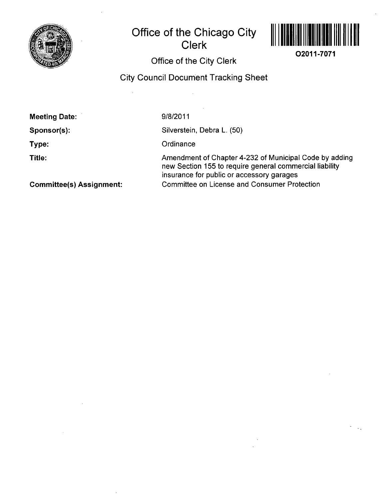

# **Office of the Chicago City Clerk**



**02011-7071** 

# **Office of the City Clerk**

### **City Council Document Tracking Sheet**

| <b>Meeting Date:</b>            | 9/8/2011                                                                                                                                                       |
|---------------------------------|----------------------------------------------------------------------------------------------------------------------------------------------------------------|
| Sponsor(s):                     | Silverstein, Debra L. (50)                                                                                                                                     |
| Type:                           | Ordinance                                                                                                                                                      |
| Title:                          | Amendment of Chapter 4-232 of Municipal Code by adding<br>new Section 155 to require general commercial liability<br>insurance for public or accessory garages |
| <b>Committee(s) Assignment:</b> | <b>Committee on License and Consumer Protection</b>                                                                                                            |

**Committee(s) Assignment:**